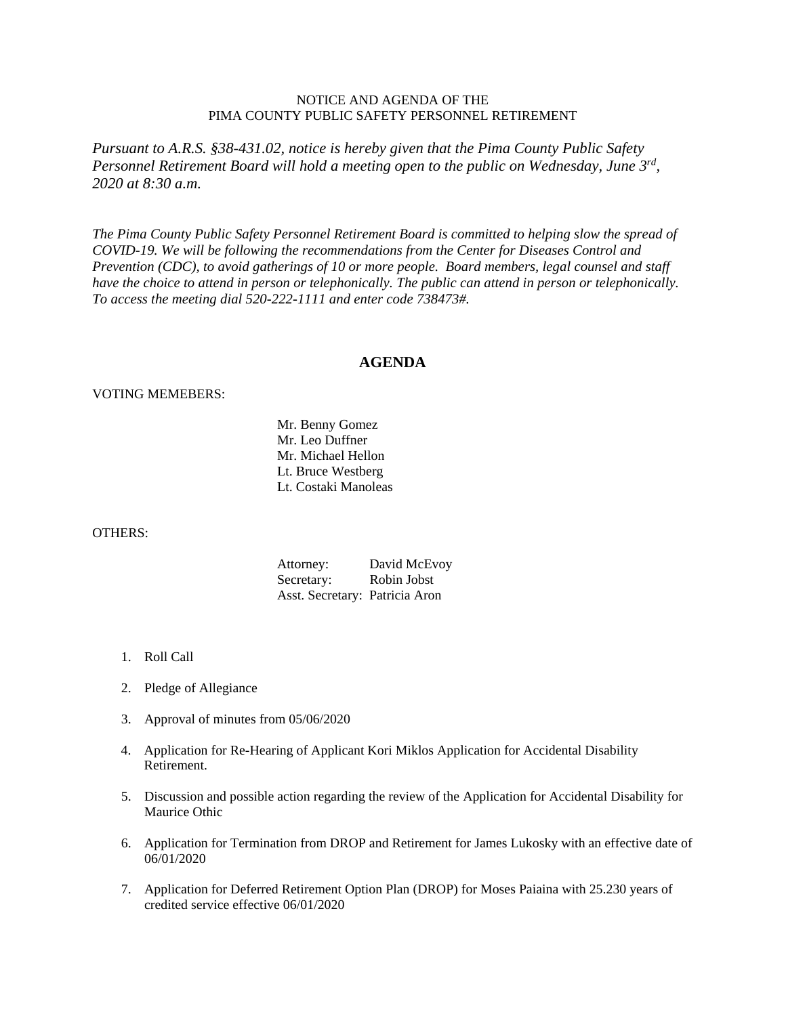## NOTICE AND AGENDA OF THE PIMA COUNTY PUBLIC SAFETY PERSONNEL RETIREMENT

*Pursuant to A.R.S. §38-431.02, notice is hereby given that the Pima County Public Safety Personnel Retirement Board will hold a meeting open to the public on Wednesday, June 3rd, 2020 at 8:30 a.m.* 

*The Pima County Public Safety Personnel Retirement Board is committed to helping slow the spread of COVID-19. We will be following the recommendations from the Center for Diseases Control and Prevention (CDC), to avoid gatherings of 10 or more people. Board members, legal counsel and staff have the choice to attend in person or telephonically. The public can attend in person or telephonically. To access the meeting dial 520-222-1111 and enter code 738473#.*

## **AGENDA**

## VOTING MEMEBERS:

 Mr. Benny Gomez Mr. Leo Duffner Mr. Michael Hellon Lt. Bruce Westberg Lt. Costaki Manoleas

## OTHERS:

| Attorney:                      | David McEvoy |
|--------------------------------|--------------|
| Secretary:                     | Robin Jobst  |
| Asst. Secretary: Patricia Aron |              |

- 1. Roll Call
- 2. Pledge of Allegiance
- 3. Approval of minutes from 05/06/2020
- 4. Application for Re-Hearing of Applicant Kori Miklos Application for Accidental Disability Retirement.
- 5. Discussion and possible action regarding the review of the Application for Accidental Disability for Maurice Othic
- 6. Application for Termination from DROP and Retirement for James Lukosky with an effective date of 06/01/2020
- 7. Application for Deferred Retirement Option Plan (DROP) for Moses Paiaina with 25.230 years of credited service effective 06/01/2020